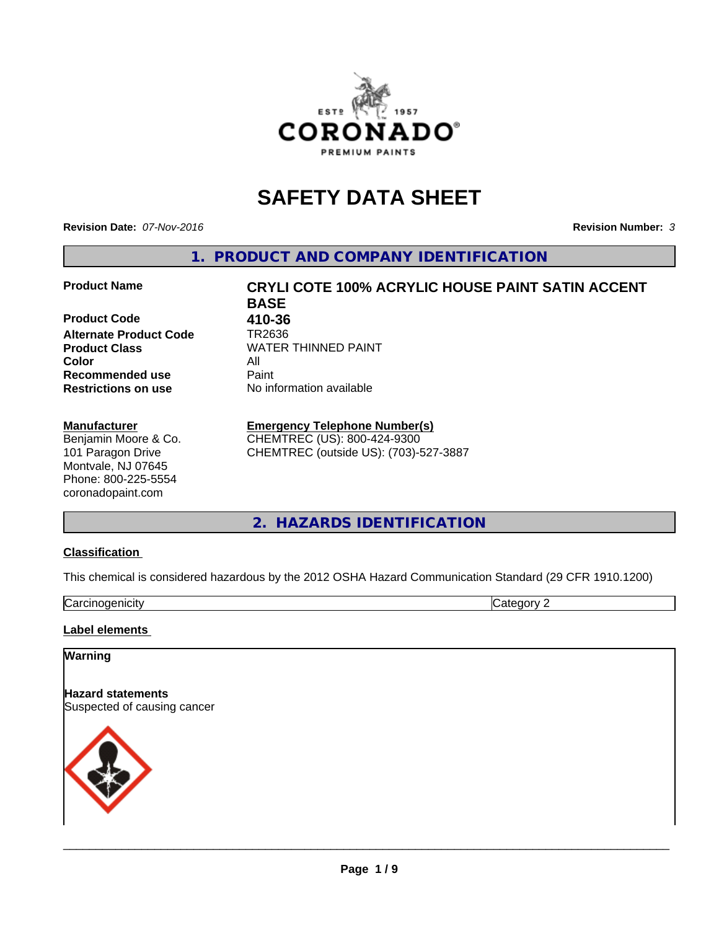

# **SAFETY DATA SHEET**

**Revision Date:** *07-Nov-2016* **Revision Number:** *3*

**1. PRODUCT AND COMPANY IDENTIFICATION**

#### **Product Name CRYLI COTE 100% ACRYLIC HOUSE PAINT SATIN ACCENT**

# **Product Code 410-36**

**Alternate Product Code TR2636<br>Product Class NATER Color** All **Recommended use** Paint<br> **Restrictions on use** Mo information available **Restrictions on use** 

#### **Manufacturer**

Benjamin Moore & Co. 101 Paragon Drive Montvale, NJ 07645 Phone: 800-225-5554 coronadopaint.com

**BASE Product Class** WATER THINNED PAINT<br>
Color

### **Emergency Telephone Number(s)**

CHEMTREC (US): 800-424-9300 CHEMTREC (outside US): (703)-527-3887

**2. HAZARDS IDENTIFICATION**

#### **Classification**

This chemical is considered hazardous by the 2012 OSHA Hazard Communication Standard (29 CFR 1910.1200)

Carcinogenicity Category 2

#### **Label elements**

#### **Warning**

**Hazard statements** Suspected of causing cancer

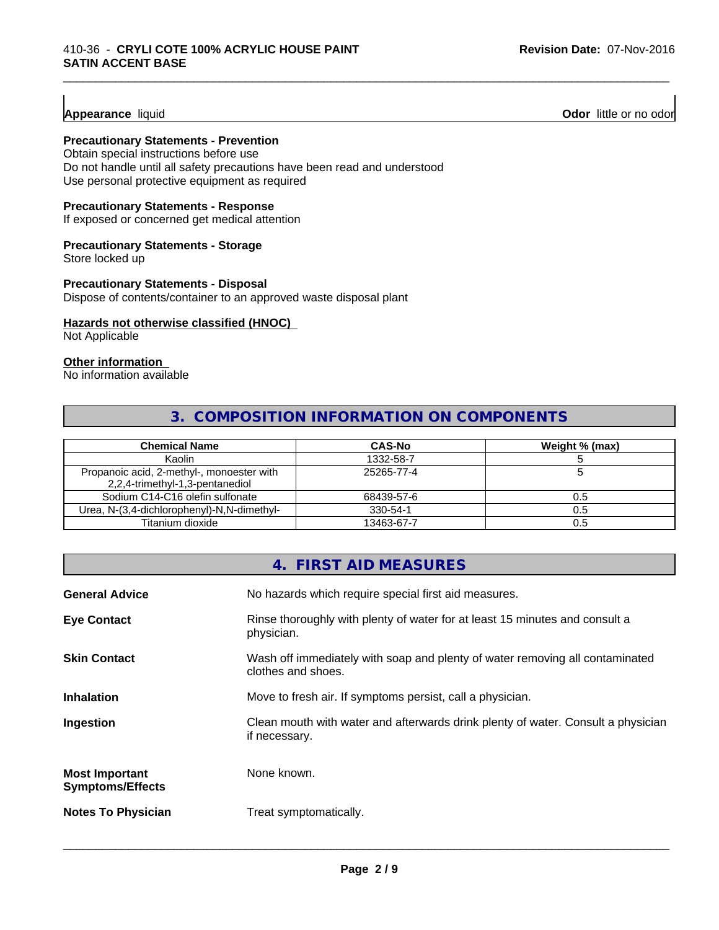**Appearance** liquid **Construction Construction Construction Construction Construction Construction Construction Construction Construction Construction Construction Construction Construction Construction Construction Constr** 

#### **Precautionary Statements - Prevention**

Obtain special instructions before use Do not handle until all safety precautions have been read and understood Use personal protective equipment as required

#### **Precautionary Statements - Response**

If exposed or concerned get medical attention

#### **Precautionary Statements - Storage**

Store locked up

#### **Precautionary Statements - Disposal**

Dispose of contents/container to an approved waste disposal plant

#### **Hazards not otherwise classified (HNOC)**

Not Applicable

#### **Other information**

No information available

## **3. COMPOSITION INFORMATION ON COMPONENTS**

\_\_\_\_\_\_\_\_\_\_\_\_\_\_\_\_\_\_\_\_\_\_\_\_\_\_\_\_\_\_\_\_\_\_\_\_\_\_\_\_\_\_\_\_\_\_\_\_\_\_\_\_\_\_\_\_\_\_\_\_\_\_\_\_\_\_\_\_\_\_\_\_\_\_\_\_\_\_\_\_\_\_\_\_\_\_\_\_\_\_\_\_\_

| <b>Chemical Name</b>                                                         | <b>CAS-No</b> | Weight % (max) |
|------------------------------------------------------------------------------|---------------|----------------|
| Kaolin                                                                       | 1332-58-7     |                |
| Propanoic acid, 2-methyl-, monoester with<br>2,2,4-trimethyl-1,3-pentanediol | 25265-77-4    |                |
| Sodium C14-C16 olefin sulfonate                                              | 68439-57-6    | u.s            |
| Urea, N-(3,4-dichlorophenyl)-N,N-dimethyl-                                   | 330-54-1      | 0.5            |
| Titanium dioxide                                                             | 13463-67-7    | U.S            |

# **4. FIRST AID MEASURES** General Advice **No hazards which require special first aid measures. Eye Contact Rinse thoroughly with plenty of water for at least 15 minutes and consult a** physician. **Skin Contact** Wash off immediately with soap and plenty of water removing all contaminated clothes and shoes. **Inhalation** Move to fresh air. If symptoms persist, call a physician. **Ingestion Exame Clean mouth with water and afterwards drink plenty of water. Consult a physician** if necessary. **Most Important Symptoms/Effects** None known. **Notes To Physician** Treat symptomatically.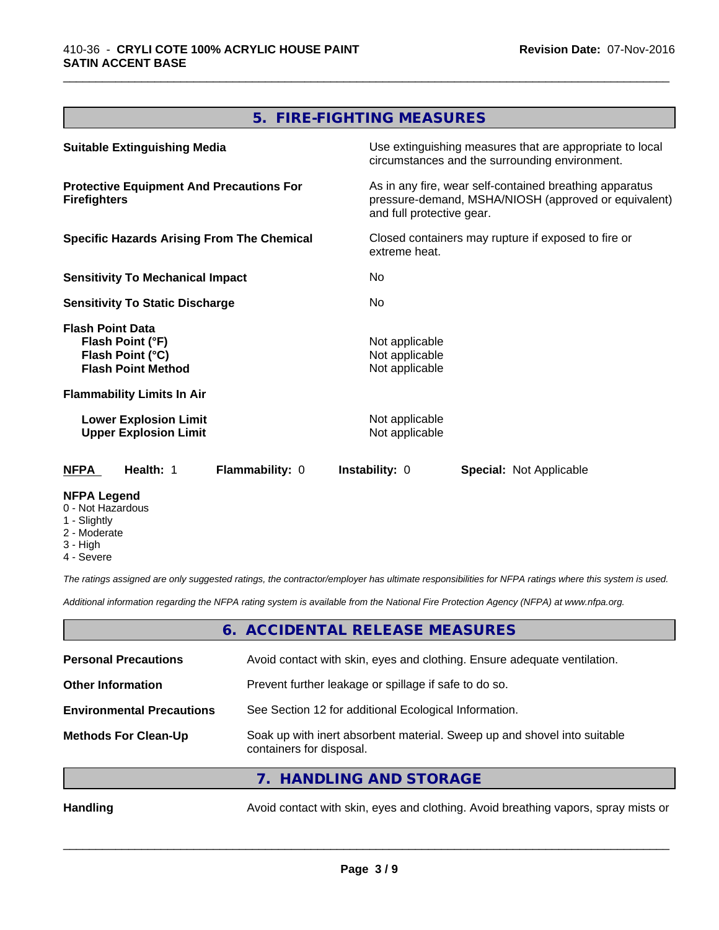# **5. FIRE-FIGHTING MEASURES**

\_\_\_\_\_\_\_\_\_\_\_\_\_\_\_\_\_\_\_\_\_\_\_\_\_\_\_\_\_\_\_\_\_\_\_\_\_\_\_\_\_\_\_\_\_\_\_\_\_\_\_\_\_\_\_\_\_\_\_\_\_\_\_\_\_\_\_\_\_\_\_\_\_\_\_\_\_\_\_\_\_\_\_\_\_\_\_\_\_\_\_\_\_

| <b>Suitable Extinguishing Media</b>                                                          | Use extinguishing measures that are appropriate to local<br>circumstances and the surrounding environment.                                   |
|----------------------------------------------------------------------------------------------|----------------------------------------------------------------------------------------------------------------------------------------------|
| <b>Protective Equipment And Precautions For</b><br><b>Firefighters</b>                       | As in any fire, wear self-contained breathing apparatus<br>pressure-demand, MSHA/NIOSH (approved or equivalent)<br>and full protective gear. |
| <b>Specific Hazards Arising From The Chemical</b>                                            | Closed containers may rupture if exposed to fire or<br>extreme heat.                                                                         |
| <b>Sensitivity To Mechanical Impact</b>                                                      | No.                                                                                                                                          |
| <b>Sensitivity To Static Discharge</b>                                                       | No.                                                                                                                                          |
| <b>Flash Point Data</b><br>Flash Point (°F)<br>Flash Point (°C)<br><b>Flash Point Method</b> | Not applicable<br>Not applicable<br>Not applicable                                                                                           |
| <b>Flammability Limits In Air</b>                                                            |                                                                                                                                              |
| <b>Lower Explosion Limit</b><br><b>Upper Explosion Limit</b>                                 | Not applicable<br>Not applicable                                                                                                             |
| Health: 1<br><b>NFPA</b><br>Flammability: 0                                                  | <b>Instability: 0</b><br><b>Special: Not Applicable</b>                                                                                      |
| <b>NFPA Legend</b><br>0 - Not Hazardous<br>1 - Slightly                                      |                                                                                                                                              |

- 
- 2 Moderate
- 3 High
- 4 Severe

*The ratings assigned are only suggested ratings, the contractor/employer has ultimate responsibilities for NFPA ratings where this system is used.*

*Additional information regarding the NFPA rating system is available from the National Fire Protection Agency (NFPA) at www.nfpa.org.*

#### **6. ACCIDENTAL RELEASE MEASURES**

| <b>Personal Precautions</b>      | Avoid contact with skin, eyes and clothing. Ensure adequate ventilation.                             |
|----------------------------------|------------------------------------------------------------------------------------------------------|
| <b>Other Information</b>         | Prevent further leakage or spillage if safe to do so.                                                |
| <b>Environmental Precautions</b> | See Section 12 for additional Ecological Information.                                                |
| <b>Methods For Clean-Up</b>      | Soak up with inert absorbent material. Sweep up and shovel into suitable<br>containers for disposal. |
|                                  | 7. HANDLING AND STORAGE                                                                              |
|                                  | .                                                                                                    |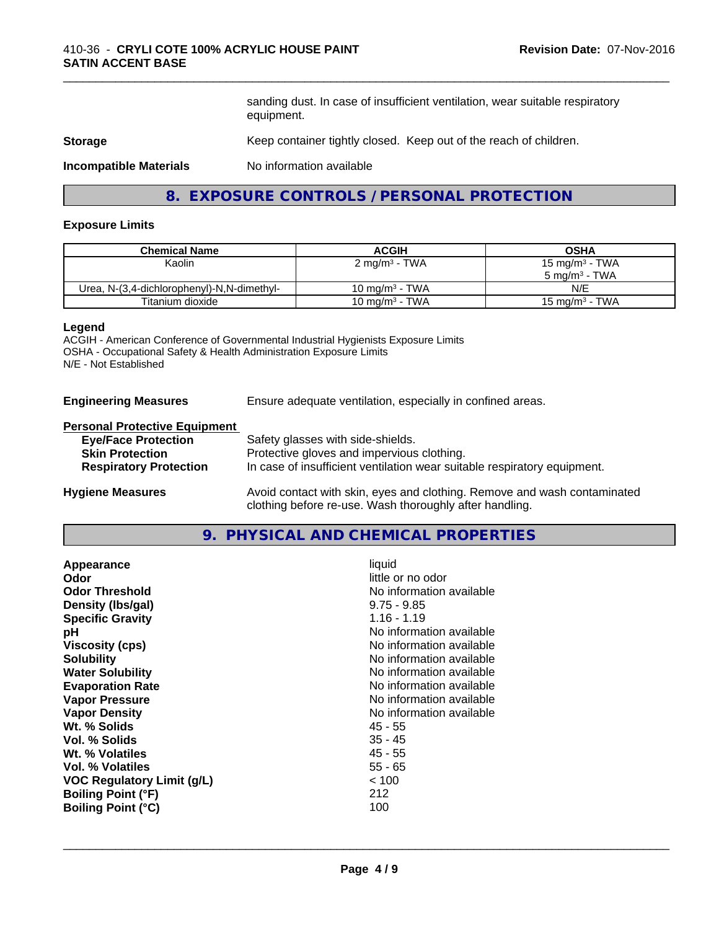sanding dust. In case of insufficient ventilation, wear suitable respiratory equipment.

\_\_\_\_\_\_\_\_\_\_\_\_\_\_\_\_\_\_\_\_\_\_\_\_\_\_\_\_\_\_\_\_\_\_\_\_\_\_\_\_\_\_\_\_\_\_\_\_\_\_\_\_\_\_\_\_\_\_\_\_\_\_\_\_\_\_\_\_\_\_\_\_\_\_\_\_\_\_\_\_\_\_\_\_\_\_\_\_\_\_\_\_\_

#### **Storage** Keep container tightly closed. Keep out of the reach of children.

**Incompatible Materials** No information available

#### **8. EXPOSURE CONTROLS / PERSONAL PROTECTION**

#### **Exposure Limits**

| <b>Chemical Name</b>                       | <b>ACGIH</b>              | <b>OSHA</b>                |
|--------------------------------------------|---------------------------|----------------------------|
| Kaolin                                     | 2 mg/m <sup>3</sup> - TWA | 15 mg/m <sup>3</sup> - TWA |
|                                            |                           | $5 \text{ ma/m}^3$ - TWA   |
| Urea, N-(3,4-dichlorophenyl)-N,N-dimethyl- | 10 mg/m $3$ - TWA         | N/E                        |
| Titanium dioxide                           | 10 mg/m $3$ - TWA         | $15 \text{ ma/m}^3$ - TWA  |

#### **Legend**

ACGIH - American Conference of Governmental Industrial Hygienists Exposure Limits OSHA - Occupational Safety & Health Administration Exposure Limits N/E - Not Established

**Engineering Measures** Ensure adequate ventilation, especially in confined areas.

## **Personal Protective Equipment**

| <b>Eye/Face Protection</b>    | Safety glasses with side-shields.                                        |
|-------------------------------|--------------------------------------------------------------------------|
| <b>Skin Protection</b>        | Protective gloves and impervious clothing.                               |
| <b>Respiratory Protection</b> | In case of insufficient ventilation wear suitable respiratory equipment. |
| Hydiano Moseuros              | Avoid contact with skin, eves and clothing. Remove and wash contaminated |

**Hygiene Measures** Avoid contact with skin, eyes and clothing. Remove and wash contaminated clothing before re-use. Wash thoroughly after handling.

#### **9. PHYSICAL AND CHEMICAL PROPERTIES**

| No information available<br><b>Odor Threshold</b><br>$9.75 - 9.85$<br>Density (Ibs/gal)<br>$1.16 - 1.19$<br><b>Specific Gravity</b><br>рH<br><b>Viscosity (cps)</b><br><b>Solubility</b><br><b>Water Solubility</b><br><b>Evaporation Rate</b><br><b>Vapor Pressure</b><br><b>Vapor Density</b><br>Wt. % Solids<br>45 - 55<br>Vol. % Solids<br>$35 - 45$<br>45 - 55<br>Wt. % Volatiles<br>$55 - 65$<br>Vol. % Volatiles<br>~< 100<br><b>VOC Regulatory Limit (g/L)</b><br>212<br><b>Boiling Point (°F)</b><br>100<br><b>Boiling Point (°C)</b> | No information available<br>No information available<br>No information available<br>No information available<br>No information available<br>No information available<br>No information available |
|------------------------------------------------------------------------------------------------------------------------------------------------------------------------------------------------------------------------------------------------------------------------------------------------------------------------------------------------------------------------------------------------------------------------------------------------------------------------------------------------------------------------------------------------|--------------------------------------------------------------------------------------------------------------------------------------------------------------------------------------------------|
|------------------------------------------------------------------------------------------------------------------------------------------------------------------------------------------------------------------------------------------------------------------------------------------------------------------------------------------------------------------------------------------------------------------------------------------------------------------------------------------------------------------------------------------------|--------------------------------------------------------------------------------------------------------------------------------------------------------------------------------------------------|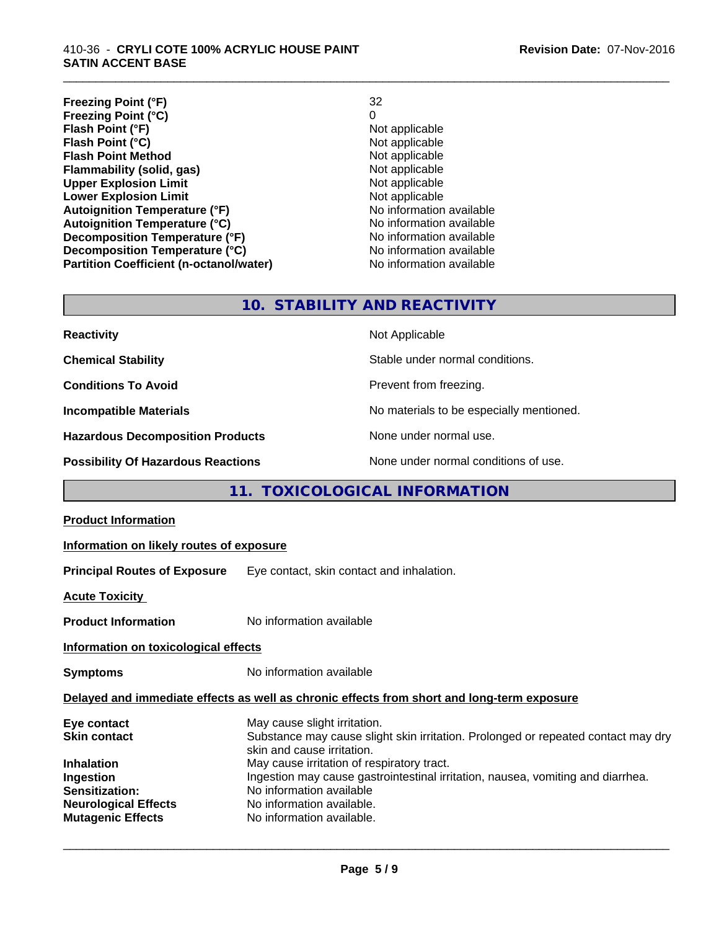#### 410-36 - **CRYLI COTE 100% ACRYLIC HOUSE PAINT SATIN ACCENT BASE**

**Freezing Point (°F)** 32 **Freezing Point (°C)** 0<br> **Flash Point (°F)** 0<br>
Not applicable **Flash Point (°F)**<br> **Flash Point (°C)**<br> **Flash Point (°C)**<br> **C Flash Point (°C)**<br> **Flash Point Method**<br> **Flash Point Method**<br> **CO Flash Point Method**<br> **Flammability (solid, gas)**<br>
Not applicable<br>
Not applicable **Flammability (solid, gas)**<br> **Contrary Controller Upper Explosion Limit Access 1986** Not applicable **Upper Explosion Limit**<br> **Lower Explosion Limit**<br> **Lower Explosion Limit Lower Explosion Limit**<br> **Autoignition Temperature (°F)**<br> **Autoignition Temperature (°F)**<br> **Autoignition Temperature (°F) Autoignition Temperature (°F) Autoignition Temperature (°C)** No information available **Decomposition Temperature (°F)** No information available **Decomposition Temperature (°C)** No information available **Partition Coefficient (n-octanol/water)** No information available

\_\_\_\_\_\_\_\_\_\_\_\_\_\_\_\_\_\_\_\_\_\_\_\_\_\_\_\_\_\_\_\_\_\_\_\_\_\_\_\_\_\_\_\_\_\_\_\_\_\_\_\_\_\_\_\_\_\_\_\_\_\_\_\_\_\_\_\_\_\_\_\_\_\_\_\_\_\_\_\_\_\_\_\_\_\_\_\_\_\_\_\_\_

# **10. STABILITY AND REACTIVITY**

| <b>Reactivity</b>                         | Not Applicable                           |
|-------------------------------------------|------------------------------------------|
| <b>Chemical Stability</b>                 | Stable under normal conditions.          |
| <b>Conditions To Avoid</b>                | Prevent from freezing.                   |
| <b>Incompatible Materials</b>             | No materials to be especially mentioned. |
| <b>Hazardous Decomposition Products</b>   | None under normal use.                   |
| <b>Possibility Of Hazardous Reactions</b> | None under normal conditions of use.     |

## **11. TOXICOLOGICAL INFORMATION**

| <b>Product Information</b>                                                                                                                        |                                                                                                                                                                                                                                                                                                                                                                        |
|---------------------------------------------------------------------------------------------------------------------------------------------------|------------------------------------------------------------------------------------------------------------------------------------------------------------------------------------------------------------------------------------------------------------------------------------------------------------------------------------------------------------------------|
| Information on likely routes of exposure                                                                                                          |                                                                                                                                                                                                                                                                                                                                                                        |
| <b>Principal Routes of Exposure</b>                                                                                                               | Eye contact, skin contact and inhalation.                                                                                                                                                                                                                                                                                                                              |
| <b>Acute Toxicity</b>                                                                                                                             |                                                                                                                                                                                                                                                                                                                                                                        |
| <b>Product Information</b>                                                                                                                        | No information available                                                                                                                                                                                                                                                                                                                                               |
| Information on toxicological effects                                                                                                              |                                                                                                                                                                                                                                                                                                                                                                        |
| <b>Symptoms</b>                                                                                                                                   | No information available                                                                                                                                                                                                                                                                                                                                               |
|                                                                                                                                                   | Delayed and immediate effects as well as chronic effects from short and long-term exposure                                                                                                                                                                                                                                                                             |
| Eye contact<br><b>Skin contact</b><br><b>Inhalation</b><br>Ingestion<br>Sensitization:<br><b>Neurological Effects</b><br><b>Mutagenic Effects</b> | May cause slight irritation.<br>Substance may cause slight skin irritation. Prolonged or repeated contact may dry<br>skin and cause irritation.<br>May cause irritation of respiratory tract.<br>Ingestion may cause gastrointestinal irritation, nausea, vomiting and diarrhea.<br>No information available<br>No information available.<br>No information available. |
|                                                                                                                                                   |                                                                                                                                                                                                                                                                                                                                                                        |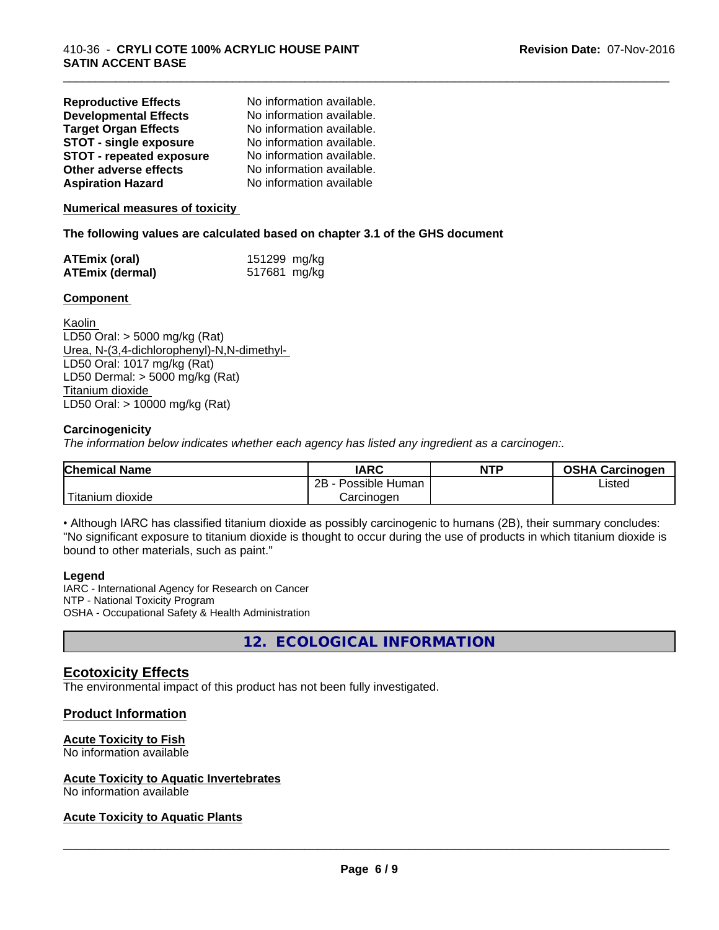| <b>Reproductive Effects</b>     | No information available. |
|---------------------------------|---------------------------|
| <b>Developmental Effects</b>    | No information available. |
| <b>Target Organ Effects</b>     | No information available. |
| <b>STOT - single exposure</b>   | No information available. |
| <b>STOT - repeated exposure</b> | No information available. |
| Other adverse effects           | No information available. |
| <b>Aspiration Hazard</b>        | No information available  |

#### **Numerical measures of toxicity**

#### **The following values are calculated based on chapter 3.1 of the GHS document**

| <b>ATEmix (oral)</b>   | 151299 mg/kg |  |
|------------------------|--------------|--|
| <b>ATEmix (dermal)</b> | 517681 mg/kg |  |

#### **Component**

Kaolin LD50 Oral: > 5000 mg/kg (Rat) Urea, N-(3,4-dichlorophenyl)-N,N-dimethyl- LD50 Oral: 1017 mg/kg (Rat) LD50 Dermal: > 5000 mg/kg (Rat) Titanium dioxide LD50 Oral: > 10000 mg/kg (Rat)

#### **Carcinogenicity**

*The information below indicateswhether each agency has listed any ingredient as a carcinogen:.*

| <b>Chemical Name</b>             | <b>IARC</b>          | <b>NTP</b> | <b>OSHA Carcinogen</b> |
|----------------------------------|----------------------|------------|------------------------|
|                                  | 2B<br>Possible Human |            | ∟isted                 |
| .<br>dioxide<br><u>I</u> itanium | Carcinogen           |            |                        |

\_\_\_\_\_\_\_\_\_\_\_\_\_\_\_\_\_\_\_\_\_\_\_\_\_\_\_\_\_\_\_\_\_\_\_\_\_\_\_\_\_\_\_\_\_\_\_\_\_\_\_\_\_\_\_\_\_\_\_\_\_\_\_\_\_\_\_\_\_\_\_\_\_\_\_\_\_\_\_\_\_\_\_\_\_\_\_\_\_\_\_\_\_

• Although IARC has classified titanium dioxide as possibly carcinogenic to humans (2B), their summary concludes: "No significant exposure to titanium dioxide is thought to occur during the use of products in which titanium dioxide is bound to other materials, such as paint."

#### **Legend**

IARC - International Agency for Research on Cancer NTP - National Toxicity Program OSHA - Occupational Safety & Health Administration

**12. ECOLOGICAL INFORMATION**

## **Ecotoxicity Effects**

The environmental impact of this product has not been fully investigated.

#### **Product Information**

#### **Acute Toxicity to Fish**

No information available

#### **Acute Toxicity to Aquatic Invertebrates**

No information available

#### **Acute Toxicity to Aquatic Plants**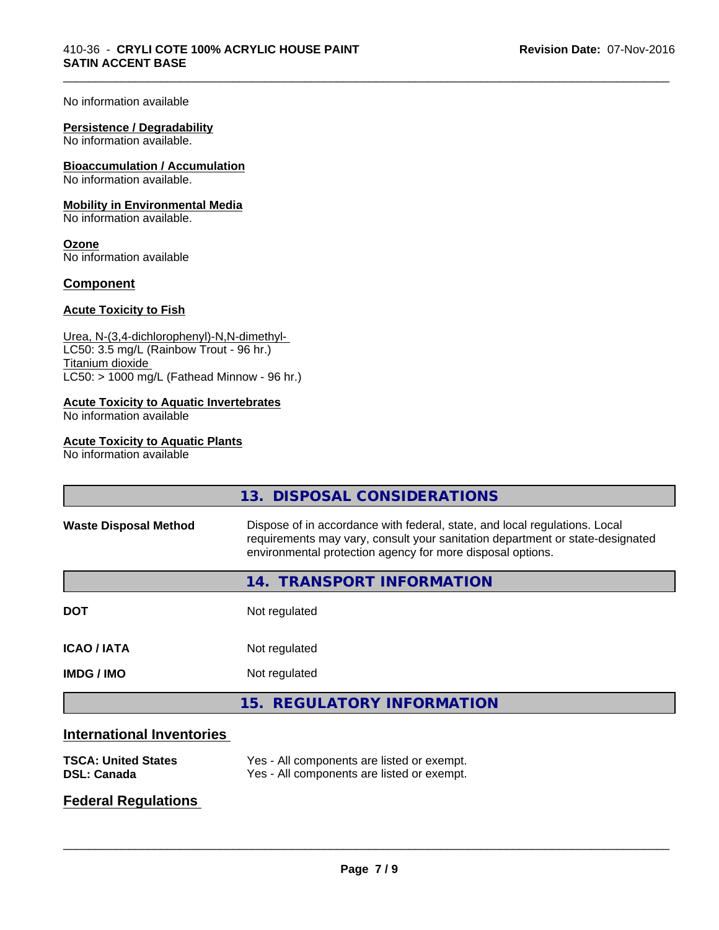#### No information available

#### **Persistence / Degradability**

No information available.

# **Bioaccumulation / Accumulation**

No information available.

#### **Mobility in Environmental Media**

No information available.

**Ozone** No information available

#### **Component**

#### **Acute Toxicity to Fish**

Urea, N-(3,4-dichlorophenyl)-N,N-dimethyl- LC50: 3.5 mg/L (Rainbow Trout - 96 hr.) Titanium dioxide  $LC50:$  > 1000 mg/L (Fathead Minnow - 96 hr.)

#### **Acute Toxicity to Aquatic Invertebrates**

No information available

#### **Acute Toxicity to Aquatic Plants**

No information available

|                                  | 13. DISPOSAL CONSIDERATIONS                                                                                                                                                                                               |
|----------------------------------|---------------------------------------------------------------------------------------------------------------------------------------------------------------------------------------------------------------------------|
| <b>Waste Disposal Method</b>     | Dispose of in accordance with federal, state, and local regulations. Local<br>requirements may vary, consult your sanitation department or state-designated<br>environmental protection agency for more disposal options. |
|                                  | <b>TRANSPORT INFORMATION</b><br>14.                                                                                                                                                                                       |
| <b>DOT</b>                       | Not regulated                                                                                                                                                                                                             |
| <b>ICAO/IATA</b>                 | Not regulated                                                                                                                                                                                                             |
| <b>IMDG/IMO</b>                  | Not regulated                                                                                                                                                                                                             |
|                                  | 15. REGULATORY INFORMATION                                                                                                                                                                                                |
| <b>International Inventories</b> |                                                                                                                                                                                                                           |

\_\_\_\_\_\_\_\_\_\_\_\_\_\_\_\_\_\_\_\_\_\_\_\_\_\_\_\_\_\_\_\_\_\_\_\_\_\_\_\_\_\_\_\_\_\_\_\_\_\_\_\_\_\_\_\_\_\_\_\_\_\_\_\_\_\_\_\_\_\_\_\_\_\_\_\_\_\_\_\_\_\_\_\_\_\_\_\_\_\_\_\_\_

| <b>TSCA: United States</b> | Yes - All components are listed or exempt. |
|----------------------------|--------------------------------------------|
| <b>DSL: Canada</b>         | Yes - All components are listed or exempt. |

# **Federal Regulations**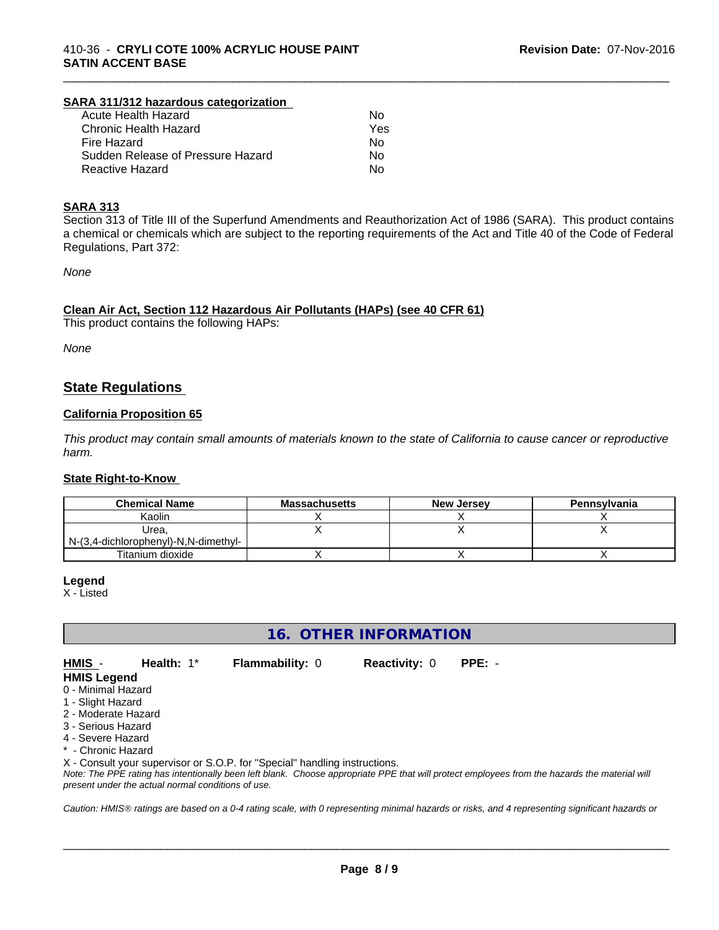#### **SARA 311/312 hazardous categorization**

| Acute Health Hazard               | N٥  |
|-----------------------------------|-----|
| Chronic Health Hazard             | Yes |
| Fire Hazard                       | Nο  |
| Sudden Release of Pressure Hazard | Nο  |
| Reactive Hazard                   | N٥  |

#### **SARA 313**

Section 313 of Title III of the Superfund Amendments and Reauthorization Act of 1986 (SARA). This product contains a chemical or chemicals which are subject to the reporting requirements of the Act and Title 40 of the Code of Federal Regulations, Part 372:

\_\_\_\_\_\_\_\_\_\_\_\_\_\_\_\_\_\_\_\_\_\_\_\_\_\_\_\_\_\_\_\_\_\_\_\_\_\_\_\_\_\_\_\_\_\_\_\_\_\_\_\_\_\_\_\_\_\_\_\_\_\_\_\_\_\_\_\_\_\_\_\_\_\_\_\_\_\_\_\_\_\_\_\_\_\_\_\_\_\_\_\_\_

*None*

#### **Clean Air Act,Section 112 Hazardous Air Pollutants (HAPs) (see 40 CFR 61)**

This product contains the following HAPs:

*None*

### **State Regulations**

#### **California Proposition 65**

This product may contain small amounts of materials known to the state of California to cause cancer or reproductive *harm.*

#### **State Right-to-Know**

| <b>Chemical Name</b>                 | <b>Massachusetts</b> | <b>New Jersey</b> | Pennsylvania |
|--------------------------------------|----------------------|-------------------|--------------|
| Kaolin                               |                      |                   |              |
| Urea.                                |                      |                   |              |
| N-(3,4-dichlorophenyl)-N,N-dimethyl- |                      |                   |              |
| Titanium dioxide                     |                      |                   |              |

#### **Legend**

X - Listed

**16. OTHER INFORMATION**

**HMIS** - **Health:** 1\* **Flammability:** 0 **Reactivity:** 0 **PPE:** -

- **HMIS Legend**
- 0 Minimal Hazard
- 1 Slight Hazard
- 2 Moderate Hazard
- 3 Serious Hazard
- 4 Severe Hazard
- Chronic Hazard

X - Consult your supervisor or S.O.P. for "Special" handling instructions.

*Note: The PPE rating has intentionally been left blank. Choose appropriate PPE that will protect employees from the hazards the material will present under the actual normal conditions of use.*

*Caution: HMISÒ ratings are based on a 0-4 rating scale, with 0 representing minimal hazards or risks, and 4 representing significant hazards or*